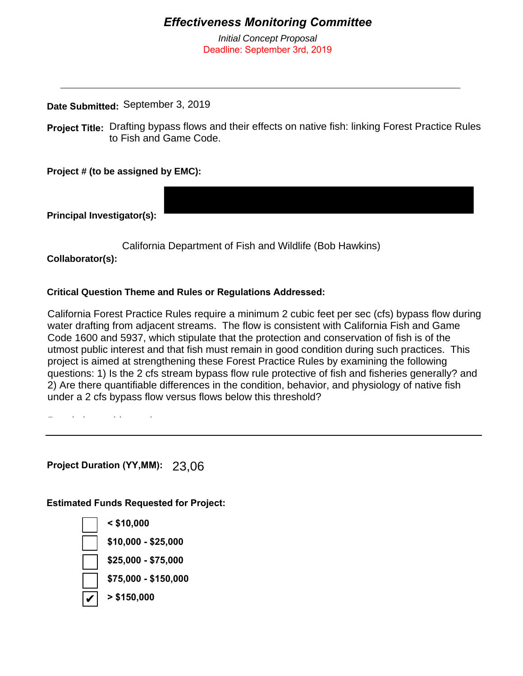## *Effectiveness Monitoring Committee*

*Initial Concept Proposal* Deadline: September 3rd, 2019

## **Date Submitted:**  September 3, 2019

Project Title: Drafting bypass flows and their effects on native fish: linking Forest Practice Rules to Fish and Game Code.

**Project # (to be assigned by EMC):**

**Principal Investigator(s):** 

California Department of Fish and Wildlife (Bob Hawkins)

**Collaborator(s):**

## **Critical Question Theme and Rules or Regulations Addressed:**

California Forest Practice Rules require a minimum 2 cubic feet per sec (cfs) bypass flow during water drafting from adjacent streams. The flow is consistent with California Fish and Game Code 1600 and 5937, which stipulate that the protection and conservation of fish is of the utmost public interest and that fish must remain in good condition during such practices. This project is aimed at strengthening these Forest Practice Rules by examining the following questions: 1) Is the 2 cfs stream bypass flow rule protective of fish and fisheries generally? and 2) Are there quantifiable differences in the condition, behavior, and physiology of native fish under a 2 cfs bypass flow versus flows below this threshold?

California Forest Practice Rules 923.7, 943.7, 963.7: "Maintenance and Monitoring of Logging

Regulations addressed:

Project Duration (YY,MM): 23,06

**Estimated Funds Requested for Project:**